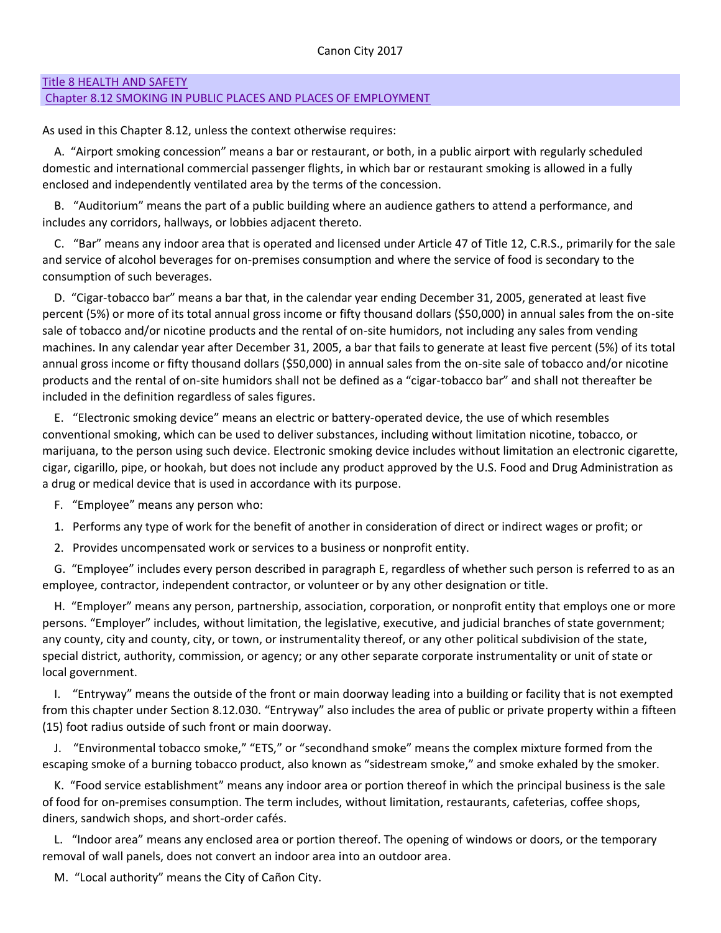# [Title 8 HEALTH AND SAFETY](http://www.qcode.us/codes/canoncity/view.php?topic=8&frames=on)

## [Chapter 8.12 SMOKING IN PUBLIC PLACES AND PLACES OF EMPLOYMENT](http://www.qcode.us/codes/canoncity/view.php?topic=8-8_12&frames=on)

As used in this Chapter 8.12, unless the context otherwise requires:

A. "Airport smoking concession" means a bar or restaurant, or both, in a public airport with regularly scheduled domestic and international commercial passenger flights, in which bar or restaurant smoking is allowed in a fully enclosed and independently ventilated area by the terms of the concession.

B. "Auditorium" means the part of a public building where an audience gathers to attend a performance, and includes any corridors, hallways, or lobbies adjacent thereto.

C. "Bar" means any indoor area that is operated and licensed under Article 47 of Title 12, C.R.S., primarily for the sale and service of alcohol beverages for on-premises consumption and where the service of food is secondary to the consumption of such beverages.

D. "Cigar-tobacco bar" means a bar that, in the calendar year ending December 31, 2005, generated at least five percent (5%) or more of its total annual gross income or fifty thousand dollars (\$50,000) in annual sales from the on-site sale of tobacco and/or nicotine products and the rental of on-site humidors, not including any sales from vending machines. In any calendar year after December 31, 2005, a bar that fails to generate at least five percent (5%) of its total annual gross income or fifty thousand dollars (\$50,000) in annual sales from the on-site sale of tobacco and/or nicotine products and the rental of on-site humidors shall not be defined as a "cigar-tobacco bar" and shall not thereafter be included in the definition regardless of sales figures.

E. "Electronic smoking device" means an electric or battery-operated device, the use of which resembles conventional smoking, which can be used to deliver substances, including without limitation nicotine, tobacco, or marijuana, to the person using such device. Electronic smoking device includes without limitation an electronic cigarette, cigar, cigarillo, pipe, or hookah, but does not include any product approved by the U.S. Food and Drug Administration as a drug or medical device that is used in accordance with its purpose.

F. "Employee" means any person who:

- 1. Performs any type of work for the benefit of another in consideration of direct or indirect wages or profit; or
- 2. Provides uncompensated work or services to a business or nonprofit entity.

G. "Employee" includes every person described in paragraph E, regardless of whether such person is referred to as an employee, contractor, independent contractor, or volunteer or by any other designation or title.

H. "Employer" means any person, partnership, association, corporation, or nonprofit entity that employs one or more persons. "Employer" includes, without limitation, the legislative, executive, and judicial branches of state government; any county, city and county, city, or town, or instrumentality thereof, or any other political subdivision of the state, special district, authority, commission, or agency; or any other separate corporate instrumentality or unit of state or local government.

I. "Entryway" means the outside of the front or main doorway leading into a building or facility that is not exempted from this chapter under Section 8.12.030. "Entryway" also includes the area of public or private property within a fifteen (15) foot radius outside of such front or main doorway.

J. "Environmental tobacco smoke," "ETS," or "secondhand smoke" means the complex mixture formed from the escaping smoke of a burning tobacco product, also known as "sidestream smoke," and smoke exhaled by the smoker.

K. "Food service establishment" means any indoor area or portion thereof in which the principal business is the sale of food for on-premises consumption. The term includes, without limitation, restaurants, cafeterias, coffee shops, diners, sandwich shops, and short-order cafés.

L. "Indoor area" means any enclosed area or portion thereof. The opening of windows or doors, or the temporary removal of wall panels, does not convert an indoor area into an outdoor area.

M. "Local authority" means the City of Cañon City.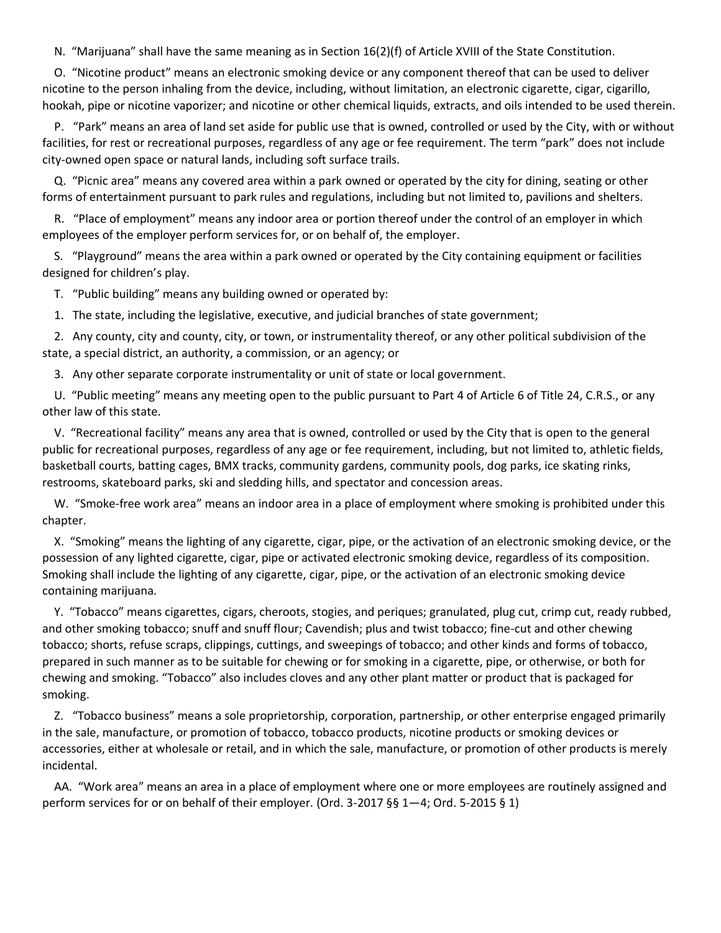N. "Marijuana" shall have the same meaning as in Section 16(2)(f) of Article XVIII of the State Constitution.

O. "Nicotine product" means an electronic smoking device or any component thereof that can be used to deliver nicotine to the person inhaling from the device, including, without limitation, an electronic cigarette, cigar, cigarillo, hookah, pipe or nicotine vaporizer; and nicotine or other chemical liquids, extracts, and oils intended to be used therein.

P. "Park" means an area of land set aside for public use that is owned, controlled or used by the City, with or without facilities, for rest or recreational purposes, regardless of any age or fee requirement. The term "park" does not include city-owned open space or natural lands, including soft surface trails.

Q. "Picnic area" means any covered area within a park owned or operated by the city for dining, seating or other forms of entertainment pursuant to park rules and regulations, including but not limited to, pavilions and shelters.

R. "Place of employment" means any indoor area or portion thereof under the control of an employer in which employees of the employer perform services for, or on behalf of, the employer.

S. "Playground" means the area within a park owned or operated by the City containing equipment or facilities designed for children's play.

T. "Public building" means any building owned or operated by:

1. The state, including the legislative, executive, and judicial branches of state government;

2. Any county, city and county, city, or town, or instrumentality thereof, or any other political subdivision of the state, a special district, an authority, a commission, or an agency; or

3. Any other separate corporate instrumentality or unit of state or local government.

U. "Public meeting" means any meeting open to the public pursuant to Part 4 of Article 6 of Title 24, C.R.S., or any other law of this state.

V. "Recreational facility" means any area that is owned, controlled or used by the City that is open to the general public for recreational purposes, regardless of any age or fee requirement, including, but not limited to, athletic fields, basketball courts, batting cages, BMX tracks, community gardens, community pools, dog parks, ice skating rinks, restrooms, skateboard parks, ski and sledding hills, and spectator and concession areas.

W. "Smoke-free work area" means an indoor area in a place of employment where smoking is prohibited under this chapter.

X. "Smoking" means the lighting of any cigarette, cigar, pipe, or the activation of an electronic smoking device, or the possession of any lighted cigarette, cigar, pipe or activated electronic smoking device, regardless of its composition. Smoking shall include the lighting of any cigarette, cigar, pipe, or the activation of an electronic smoking device containing marijuana.

Y. "Tobacco" means cigarettes, cigars, cheroots, stogies, and periques; granulated, plug cut, crimp cut, ready rubbed, and other smoking tobacco; snuff and snuff flour; Cavendish; plus and twist tobacco; fine-cut and other chewing tobacco; shorts, refuse scraps, clippings, cuttings, and sweepings of tobacco; and other kinds and forms of tobacco, prepared in such manner as to be suitable for chewing or for smoking in a cigarette, pipe, or otherwise, or both for chewing and smoking. "Tobacco" also includes cloves and any other plant matter or product that is packaged for smoking.

Z. "Tobacco business" means a sole proprietorship, corporation, partnership, or other enterprise engaged primarily in the sale, manufacture, or promotion of tobacco, tobacco products, nicotine products or smoking devices or accessories, either at wholesale or retail, and in which the sale, manufacture, or promotion of other products is merely incidental.

AA. "Work area" means an area in a place of employment where one or more employees are routinely assigned and perform services for or on behalf of their employer. (Ord. 3-2017 §§ 1—4; Ord. 5-2015 § 1)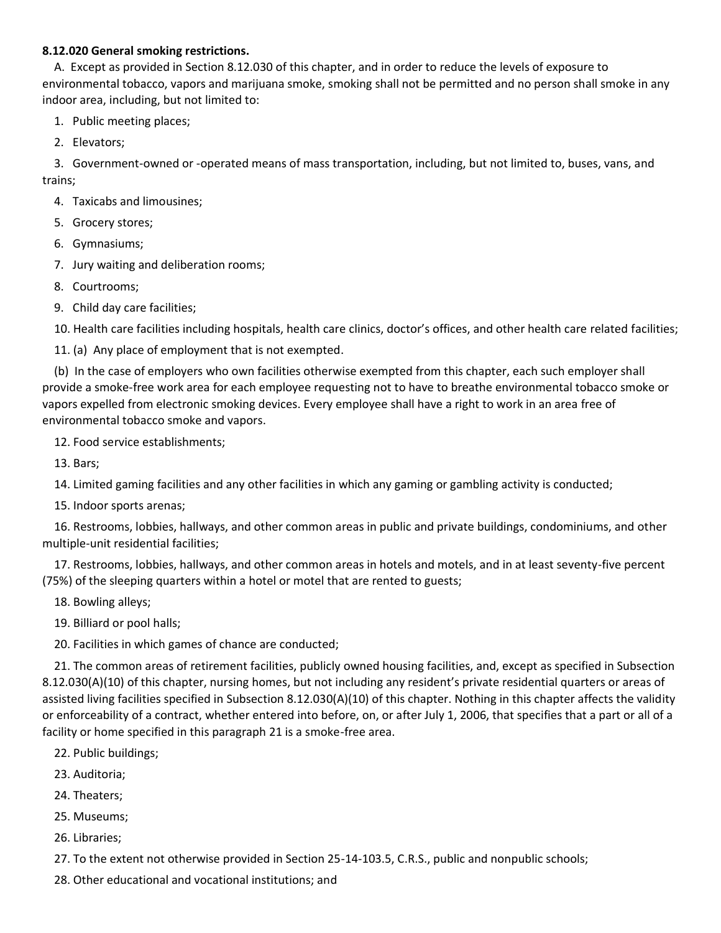#### **8.12.020 General smoking restrictions.**

A. Except as provided in Section 8.12.030 of this chapter, and in order to reduce the levels of exposure to environmental tobacco, vapors and marijuana smoke, smoking shall not be permitted and no person shall smoke in any indoor area, including, but not limited to:

1. Public meeting places;

2. Elevators;

3. Government-owned or -operated means of mass transportation, including, but not limited to, buses, vans, and trains;

4. Taxicabs and limousines;

5. Grocery stores;

6. Gymnasiums;

- 7. Jury waiting and deliberation rooms;
- 8. Courtrooms;
- 9. Child day care facilities;

10. Health care facilities including hospitals, health care clinics, doctor's offices, and other health care related facilities;

11. (a) Any place of employment that is not exempted.

(b) In the case of employers who own facilities otherwise exempted from this chapter, each such employer shall provide a smoke-free work area for each employee requesting not to have to breathe environmental tobacco smoke or vapors expelled from electronic smoking devices. Every employee shall have a right to work in an area free of environmental tobacco smoke and vapors.

12. Food service establishments;

13. Bars;

14. Limited gaming facilities and any other facilities in which any gaming or gambling activity is conducted;

15. Indoor sports arenas;

16. Restrooms, lobbies, hallways, and other common areas in public and private buildings, condominiums, and other multiple-unit residential facilities;

17. Restrooms, lobbies, hallways, and other common areas in hotels and motels, and in at least seventy-five percent (75%) of the sleeping quarters within a hotel or motel that are rented to guests;

- 18. Bowling alleys;
- 19. Billiard or pool halls;

20. Facilities in which games of chance are conducted;

21. The common areas of retirement facilities, publicly owned housing facilities, and, except as specified in Subsection 8.12.030(A)(10) of this chapter, nursing homes, but not including any resident's private residential quarters or areas of assisted living facilities specified in Subsection 8.12.030(A)(10) of this chapter. Nothing in this chapter affects the validity or enforceability of a contract, whether entered into before, on, or after July 1, 2006, that specifies that a part or all of a facility or home specified in this paragraph 21 is a smoke-free area.

- 22. Public buildings;
- 23. Auditoria;
- 24. Theaters;
- 25. Museums;
- 26. Libraries;
- 27. To the extent not otherwise provided in Section 25-14-103.5, C.R.S., public and nonpublic schools;
- 28. Other educational and vocational institutions; and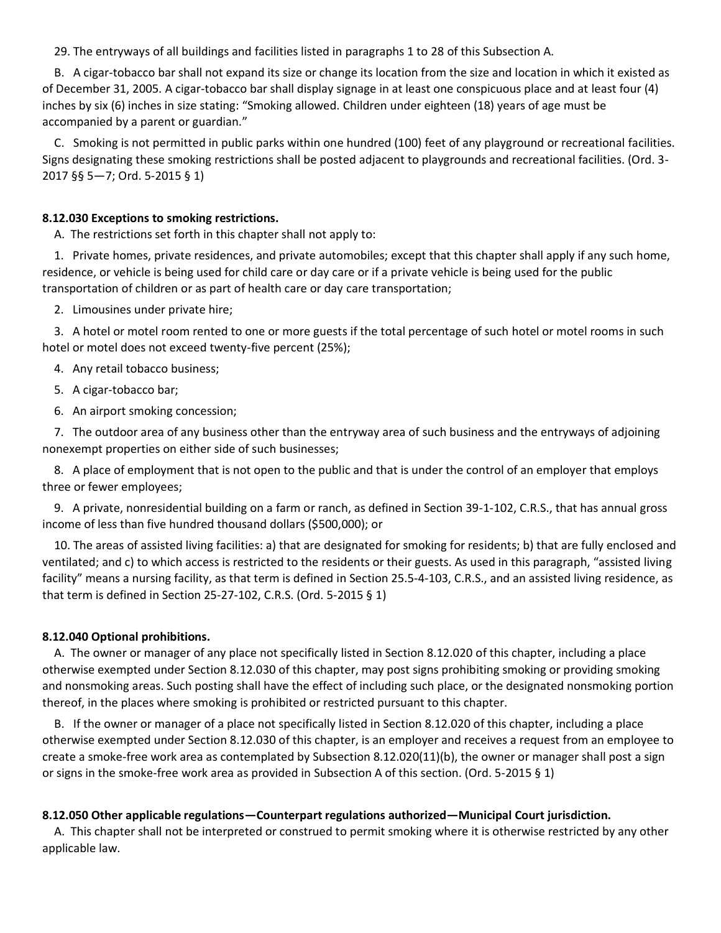29. The entryways of all buildings and facilities listed in paragraphs 1 to 28 of this Subsection A.

B. A cigar-tobacco bar shall not expand its size or change its location from the size and location in which it existed as of December 31, 2005. A cigar-tobacco bar shall display signage in at least one conspicuous place and at least four (4) inches by six (6) inches in size stating: "Smoking allowed. Children under eighteen (18) years of age must be accompanied by a parent or guardian."

C. Smoking is not permitted in public parks within one hundred (100) feet of any playground or recreational facilities. Signs designating these smoking restrictions shall be posted adjacent to playgrounds and recreational facilities. (Ord. 3- 2017 §§ 5—7; Ord. 5-2015 § 1)

#### **8.12.030 Exceptions to smoking restrictions.**

A. The restrictions set forth in this chapter shall not apply to:

1. Private homes, private residences, and private automobiles; except that this chapter shall apply if any such home, residence, or vehicle is being used for child care or day care or if a private vehicle is being used for the public transportation of children or as part of health care or day care transportation;

2. Limousines under private hire;

3. A hotel or motel room rented to one or more guests if the total percentage of such hotel or motel rooms in such hotel or motel does not exceed twenty-five percent (25%);

4. Any retail tobacco business;

5. A cigar-tobacco bar;

6. An airport smoking concession;

7. The outdoor area of any business other than the entryway area of such business and the entryways of adjoining nonexempt properties on either side of such businesses;

8. A place of employment that is not open to the public and that is under the control of an employer that employs three or fewer employees;

9. A private, nonresidential building on a farm or ranch, as defined in Section 39-1-102, C.R.S., that has annual gross income of less than five hundred thousand dollars (\$500,000); or

10. The areas of assisted living facilities: a) that are designated for smoking for residents; b) that are fully enclosed and ventilated; and c) to which access is restricted to the residents or their guests. As used in this paragraph, "assisted living facility" means a nursing facility, as that term is defined in Section 25.5-4-103, C.R.S., and an assisted living residence, as that term is defined in Section 25-27-102, C.R.S. (Ord. 5-2015 § 1)

#### **8.12.040 Optional prohibitions.**

A. The owner or manager of any place not specifically listed in Section 8.12.020 of this chapter, including a place otherwise exempted under Section 8.12.030 of this chapter, may post signs prohibiting smoking or providing smoking and nonsmoking areas. Such posting shall have the effect of including such place, or the designated nonsmoking portion thereof, in the places where smoking is prohibited or restricted pursuant to this chapter.

B. If the owner or manager of a place not specifically listed in Section 8.12.020 of this chapter, including a place otherwise exempted under Section 8.12.030 of this chapter, is an employer and receives a request from an employee to create a smoke-free work area as contemplated by Subsection 8.12.020(11)(b), the owner or manager shall post a sign or signs in the smoke-free work area as provided in Subsection A of this section. (Ord. 5-2015 § 1)

#### **8.12.050 Other applicable regulations—Counterpart regulations authorized—Municipal Court jurisdiction.**

A. This chapter shall not be interpreted or construed to permit smoking where it is otherwise restricted by any other applicable law.